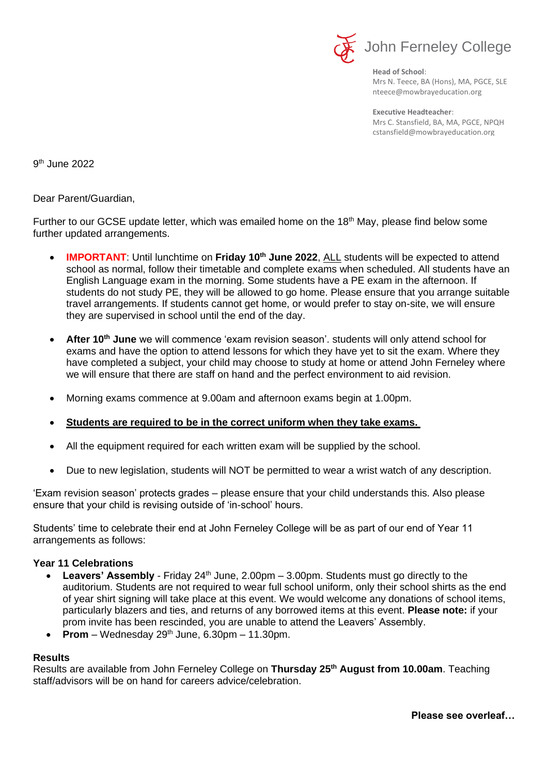

**Head of School**: Mrs N. Teece, BA (Hons), MA, PGCE, SLE nteece@mowbrayeducation.org

**Executive Headteacher**: Mrs C. Stansfield, BA, MA, PGCE, NPQH cstansfield@mowbrayeducation.org

9 th June 2022

Dear Parent/Guardian,

Further to our GCSE update letter, which was emailed home on the 18<sup>th</sup> May, please find below some further updated arrangements.

- **IMPORTANT:** Until lunchtime on Friday 10<sup>th</sup> June 2022, ALL students will be expected to attend school as normal, follow their timetable and complete exams when scheduled. All students have an English Language exam in the morning. Some students have a PE exam in the afternoon. If students do not study PE, they will be allowed to go home. Please ensure that you arrange suitable travel arrangements. If students cannot get home, or would prefer to stay on-site, we will ensure they are supervised in school until the end of the day.
- **After 10th June** we will commence 'exam revision season'. students will only attend school for exams and have the option to attend lessons for which they have yet to sit the exam. Where they have completed a subject, your child may choose to study at home or attend John Ferneley where we will ensure that there are staff on hand and the perfect environment to aid revision.
- Morning exams commence at 9.00am and afternoon exams begin at 1.00pm.

## • **Students are required to be in the correct uniform when they take exams.**

- All the equipment required for each written exam will be supplied by the school.
- Due to new legislation, students will NOT be permitted to wear a wrist watch of any description.

'Exam revision season' protects grades – please ensure that your child understands this. Also please ensure that your child is revising outside of 'in-school' hours.

Students' time to celebrate their end at John Ferneley College will be as part of our end of Year 11 arrangements as follows:

## **Year 11 Celebrations**

- **Leavers' Assembly** Friday 24<sup>th</sup> June, 2.00pm 3.00pm. Students must go directly to the auditorium. Students are not required to wear full school uniform, only their school shirts as the end of year shirt signing will take place at this event. We would welcome any donations of school items, particularly blazers and ties, and returns of any borrowed items at this event. **Please note:** if your prom invite has been rescinded, you are unable to attend the Leavers' Assembly.
- **Prom** Wednesday  $29<sup>th</sup>$  June,  $6.30$ pm 11.30pm.

## **Results**

Results are available from John Ferneley College on **Thursday 25th August from 10.00am**. Teaching staff/advisors will be on hand for careers advice/celebration.